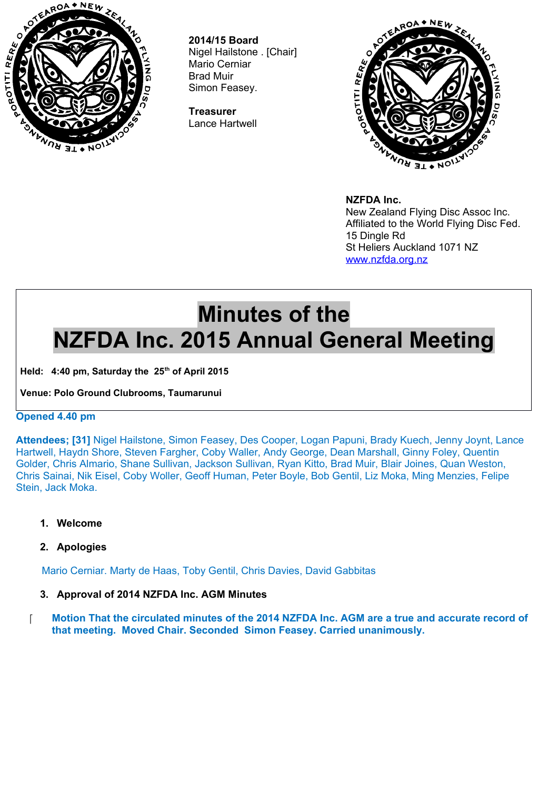

**2014/15 Board** Nigel Hailstone . [Chair] Mario Cerniar Brad Muir Simon Feasey.

**Treasurer** Lance Hartwell



**NZFDA Inc.**

New Zealand Flying Disc Assoc Inc. Affiliated to the World Flying Disc Fed. 15 Dingle Rd St Heliers Auckland 1071 NZ [www.nzfda.org.nz](http://www.nzfda.org.nz/)

# **Minutes of the NZFDA Inc. 2015 Annual General Meeting**

Held: 4:40 pm, Saturday the 25<sup>th</sup> of April 2015

**Venue: Polo Ground Clubrooms, Taumarunui**

# **Opened 4.40 pm**

**Attendees; [31]** Nigel Hailstone, Simon Feasey, Des Cooper, Logan Papuni, Brady Kuech, Jenny Joynt, Lance Hartwell, Haydn Shore, Steven Fargher, Coby Waller, Andy George, Dean Marshall, Ginny Foley, Quentin Golder, Chris Almario, Shane Sullivan, Jackson Sullivan, Ryan Kitto, Brad Muir, Blair Joines, Quan Weston, Chris Sainai, Nik Eisel, Coby Woller, Geoff Human, Peter Boyle, Bob Gentil, Liz Moka, Ming Menzies, Felipe Stein, Jack Moka.

- **1. Welcome**
- **2. Apologies**

Mario Cerniar. Marty de Haas, Toby Gentil, Chris Davies, David Gabbitas

- **3. Approval of 2014 NZFDA Inc. AGM Minutes**
- **Motion That the circulated minutes of the 2014 NZFDA Inc. AGM are a true and accurate record of that meeting. Moved Chair. Seconded Simon Feasey. Carried unanimously.**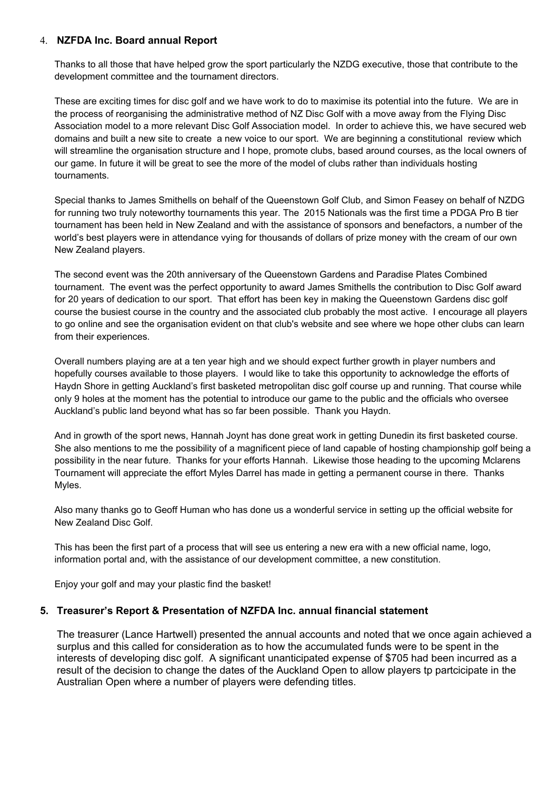#### 4. **NZFDA Inc. Board annual Report**

Thanks to all those that have helped grow the sport particularly the NZDG executive, those that contribute to the development committee and the tournament directors.

These are exciting times for disc golf and we have work to do to maximise its potential into the future. We are in the process of reorganising the administrative method of NZ Disc Golf with a move away from the Flying Disc Association model to a more relevant Disc Golf Association model. In order to achieve this, we have secured web domains and built a new site to create a new voice to our sport. We are beginning a constitutional review which will streamline the organisation structure and I hope, promote clubs, based around courses, as the local owners of our game. In future it will be great to see the more of the model of clubs rather than individuals hosting tournaments.

Special thanks to James Smithells on behalf of the Queenstown Golf Club, and Simon Feasey on behalf of NZDG for running two truly noteworthy tournaments this year. The 2015 Nationals was the first time a PDGA Pro B tier tournament has been held in New Zealand and with the assistance of sponsors and benefactors, a number of the world's best players were in attendance vying for thousands of dollars of prize money with the cream of our own New Zealand players.

The second event was the 20th anniversary of the Queenstown Gardens and Paradise Plates Combined tournament. The event was the perfect opportunity to award James Smithells the contribution to Disc Golf award for 20 years of dedication to our sport. That effort has been key in making the Queenstown Gardens disc golf course the busiest course in the country and the associated club probably the most active. I encourage all players to go online and see the organisation evident on that club's website and see where we hope other clubs can learn from their experiences.

Overall numbers playing are at a ten year high and we should expect further growth in player numbers and hopefully courses available to those players. I would like to take this opportunity to acknowledge the efforts of Haydn Shore in getting Auckland's first basketed metropolitan disc golf course up and running. That course while only 9 holes at the moment has the potential to introduce our game to the public and the officials who oversee Auckland's public land beyond what has so far been possible. Thank you Haydn.

And in growth of the sport news, Hannah Joynt has done great work in getting Dunedin its first basketed course. She also mentions to me the possibility of a magnificent piece of land capable of hosting championship golf being a possibility in the near future. Thanks for your efforts Hannah. Likewise those heading to the upcoming Mclarens Tournament will appreciate the effort Myles Darrel has made in getting a permanent course in there. Thanks Myles.

Also many thanks go to Geoff Human who has done us a wonderful service in setting up the official website for New Zealand Disc Golf.

This has been the first part of a process that will see us entering a new era with a new official name, logo, information portal and, with the assistance of our development committee, a new constitution.

Enjoy your golf and may your plastic find the basket!

#### **5. Treasurer's Report & Presentation of NZFDA Inc. annual financial statement**

The treasurer (Lance Hartwell) presented the annual accounts and noted that we once again achieved a surplus and this called for consideration as to how the accumulated funds were to be spent in the interests of developing disc golf. A significant unanticipated expense of \$705 had been incurred as a result of the decision to change the dates of the Auckland Open to allow players tp partcicipate in the Australian Open where a number of players were defending titles.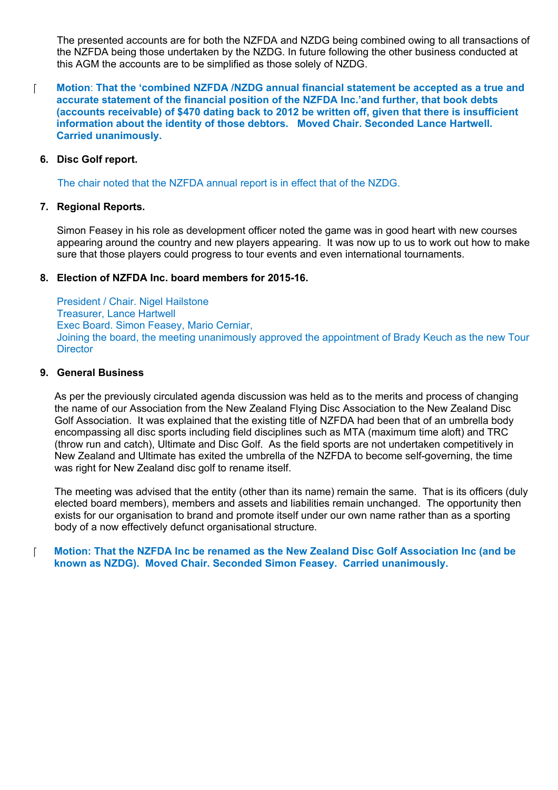The presented accounts are for both the NZFDA and NZDG being combined owing to all transactions of the NZFDA being those undertaken by the NZDG. In future following the other business conducted at this AGM the accounts are to be simplified as those solely of NZDG.

#### **Motion**: **That the 'combined NZFDA /NZDG annual financial statement be accepted as a true and accurate statement of the financial position of the NZFDA Inc.'and further, that book debts (accounts receivable) of \$470 dating back to 2012 be written off, given that there is insufficient information about the identity of those debtors. Moved Chair. Seconded Lance Hartwell. Carried unanimously.**

## **6. Disc Golf report.**

The chair noted that the NZFDA annual report is in effect that of the NZDG.

#### **7. Regional Reports.**

Simon Feasey in his role as development officer noted the game was in good heart with new courses appearing around the country and new players appearing. It was now up to us to work out how to make sure that those players could progress to tour events and even international tournaments.

#### **8. Election of NZFDA Inc. board members for 2015-16.**

President / Chair. Nigel Hailstone Treasurer, Lance Hartwell Exec Board. Simon Feasey, Mario Cerniar, Joining the board, the meeting unanimously approved the appointment of Brady Keuch as the new Tour **Director** 

#### **9. General Business**

As per the previously circulated agenda discussion was held as to the merits and process of changing the name of our Association from the New Zealand Flying Disc Association to the New Zealand Disc Golf Association. It was explained that the existing title of NZFDA had been that of an umbrella body encompassing all disc sports including field disciplines such as MTA (maximum time aloft) and TRC (throw run and catch), Ultimate and Disc Golf. As the field sports are not undertaken competitively in New Zealand and Ultimate has exited the umbrella of the NZFDA to become self-governing, the time was right for New Zealand disc golf to rename itself.

The meeting was advised that the entity (other than its name) remain the same. That is its officers (duly elected board members), members and assets and liabilities remain unchanged. The opportunity then exists for our organisation to brand and promote itself under our own name rather than as a sporting body of a now effectively defunct organisational structure.

### **Motion: That the NZFDA Inc be renamed as the New Zealand Disc Golf Association Inc (and be known as NZDG). Moved Chair. Seconded Simon Feasey. Carried unanimously.**